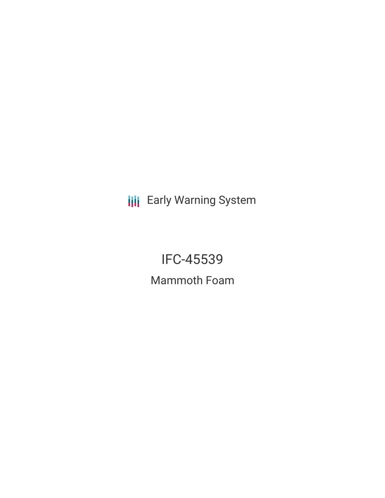**III** Early Warning System

IFC-45539 Mammoth Foam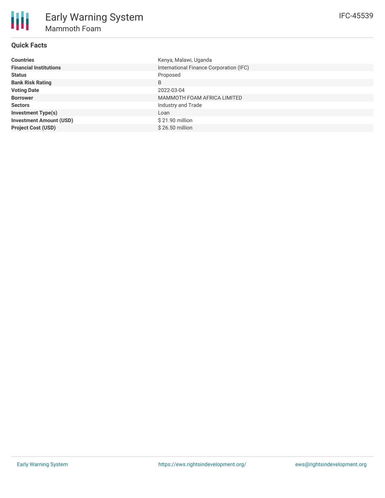# **Quick Facts**

| <b>Countries</b>               | Kenya, Malawi, Uganda                   |
|--------------------------------|-----------------------------------------|
| <b>Financial Institutions</b>  | International Finance Corporation (IFC) |
| <b>Status</b>                  | Proposed                                |
| <b>Bank Risk Rating</b>        | B                                       |
| <b>Voting Date</b>             | 2022-03-04                              |
| <b>Borrower</b>                | MAMMOTH FOAM AFRICA LIMITED             |
| <b>Sectors</b>                 | Industry and Trade                      |
| <b>Investment Type(s)</b>      | Loan                                    |
| <b>Investment Amount (USD)</b> | \$21.90 million                         |
| <b>Project Cost (USD)</b>      | \$26,50 million                         |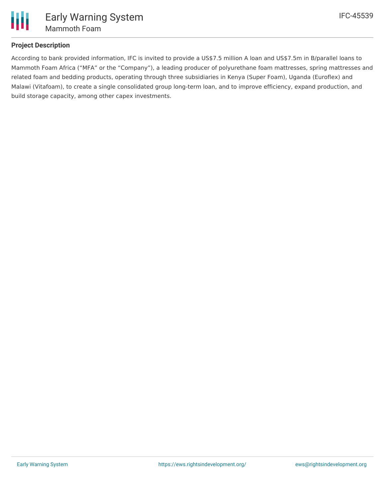

## **Project Description**

According to bank provided information, IFC is invited to provide a US\$7.5 million A loan and US\$7.5m in B/parallel loans to Mammoth Foam Africa ("MFA" or the "Company"), a leading producer of polyurethane foam mattresses, spring mattresses and related foam and bedding products, operating through three subsidiaries in Kenya (Super Foam), Uganda (Euroflex) and Malawi (Vitafoam), to create a single consolidated group long-term loan, and to improve efficiency, expand production, and build storage capacity, among other capex investments.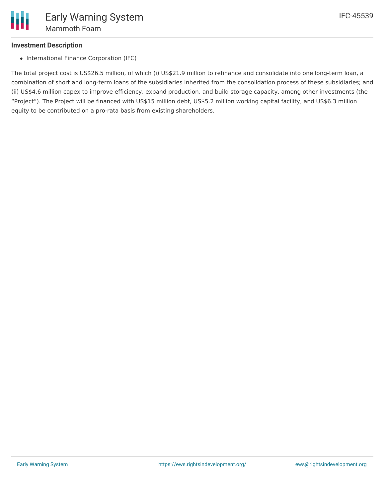## **Investment Description**

• International Finance Corporation (IFC)

The total project cost is US\$26.5 million, of which (i) US\$21.9 million to refinance and consolidate into one long-term loan, a combination of short and long-term loans of the subsidiaries inherited from the consolidation process of these subsidiaries; and (ii) US\$4.6 million capex to improve efficiency, expand production, and build storage capacity, among other investments (the "Project"). The Project will be financed with US\$15 million debt, US\$5.2 million working capital facility, and US\$6.3 million equity to be contributed on a pro-rata basis from existing shareholders.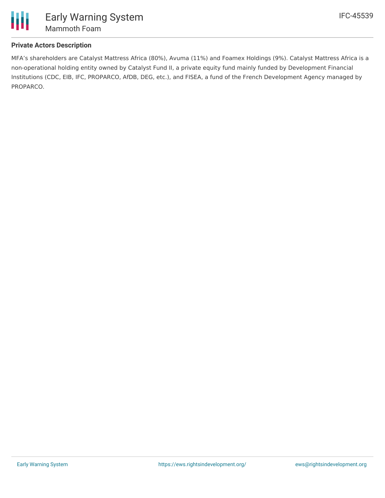

# **Private Actors Description**

MFA's shareholders are Catalyst Mattress Africa (80%), Avuma (11%) and Foamex Holdings (9%). Catalyst Mattress Africa is a non-operational holding entity owned by Catalyst Fund II, a private equity fund mainly funded by Development Financial Institutions (CDC, EIB, IFC, PROPARCO, AfDB, DEG, etc.), and FISEA, a fund of the French Development Agency managed by PROPARCO.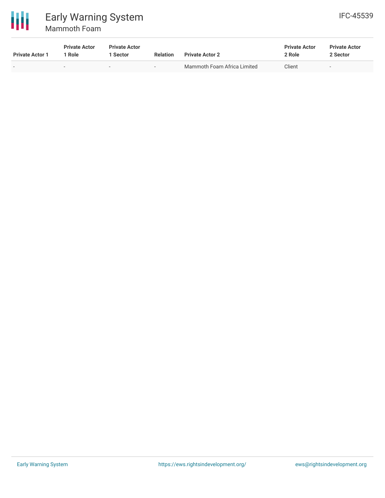

# Early Warning System Mammoth Foam

| <b>Private Actor 1</b> | <b>Private Actor</b><br>Role | <b>Private Actor</b><br>1 Sector | <b>Relation</b> | <b>Private Actor 2</b>      | <b>Private Actor</b><br>2 Role | <b>Private Actor</b><br>2 Sector |  |
|------------------------|------------------------------|----------------------------------|-----------------|-----------------------------|--------------------------------|----------------------------------|--|
|                        |                              | $\sim$                           | $\sim$          | Mammoth Foam Africa Limited | Client                         | $\overline{\phantom{0}}$         |  |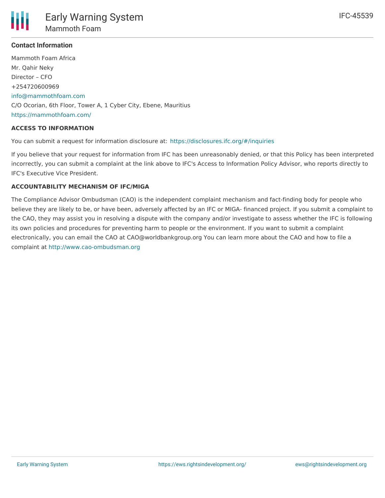

## **Contact Information**

Mammoth Foam Africa Mr. Qahir Neky Director – CFO +254720600969 [info@mammothfoam.com](mailto:info@mammothfoam.com) C/O Ocorian, 6th Floor, Tower A, 1 Cyber City, Ebene, Mauritius <https://mammothfoam.com/>

### **ACCESS TO INFORMATION**

You can submit a request for information disclosure at: <https://disclosures.ifc.org/#/inquiries>

If you believe that your request for information from IFC has been unreasonably denied, or that this Policy has been interpreted incorrectly, you can submit a complaint at the link above to IFC's Access to Information Policy Advisor, who reports directly to IFC's Executive Vice President.

## **ACCOUNTABILITY MECHANISM OF IFC/MIGA**

The Compliance Advisor Ombudsman (CAO) is the independent complaint mechanism and fact-finding body for people who believe they are likely to be, or have been, adversely affected by an IFC or MIGA- financed project. If you submit a complaint to the CAO, they may assist you in resolving a dispute with the company and/or investigate to assess whether the IFC is following its own policies and procedures for preventing harm to people or the environment. If you want to submit a complaint electronically, you can email the CAO at CAO@worldbankgroup.org You can learn more about the CAO and how to file a complaint at <http://www.cao-ombudsman.org>